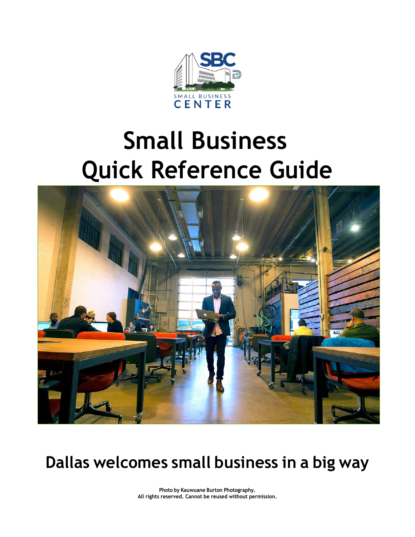

# **Small Business Quick Reference Guide**



## **Dallas welcomes small business in a big way**

**Photo by Kauwuane Burton Photography. All rights reserved. Cannot be reused without permission.**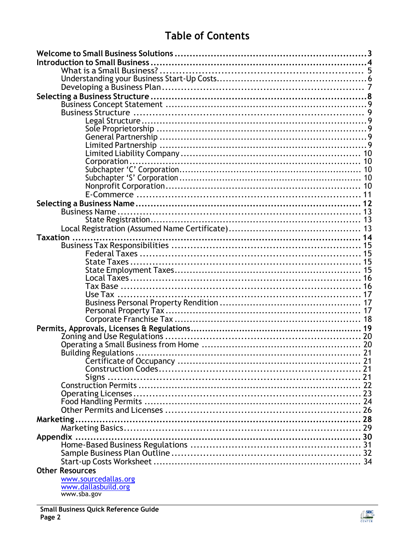## **Table of Contents**

| Building Regulations   |  |
|------------------------|--|
|                        |  |
|                        |  |
|                        |  |
|                        |  |
|                        |  |
|                        |  |
|                        |  |
|                        |  |
|                        |  |
|                        |  |
|                        |  |
|                        |  |
|                        |  |
|                        |  |
| <b>Other Resources</b> |  |
| www.sourcedallas.org   |  |
| www.dallasbuild.org    |  |
| www.sba.gov            |  |

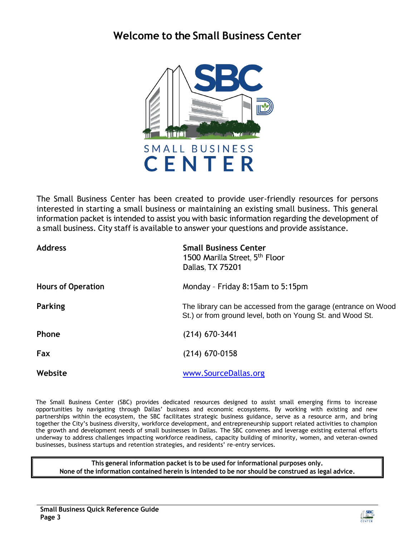### <span id="page-2-0"></span>**Welcome to the Small Business Center**



The Small Business Center has been created to provide user-friendly resources for persons interested in starting a small business or maintaining an existing small business. This general information packet is intended to assist you with basic information regarding the development of a small business. City staff is available to answer your questions and provide assistance.

| <b>Address</b>            | <b>Small Business Center</b><br>1500 Marilla Street, 5 <sup>th</sup> Floor<br>Dallas, TX 75201                             |
|---------------------------|----------------------------------------------------------------------------------------------------------------------------|
| <b>Hours of Operation</b> | Monday - Friday 8:15am to 5:15pm                                                                                           |
| Parking                   | The library can be accessed from the garage (entrance on Wood<br>St.) or from ground level, both on Young St. and Wood St. |
| <b>Phone</b>              | $(214)$ 670-3441                                                                                                           |
| Fax                       | $(214)$ 670-0158                                                                                                           |
| Website                   | www.SourceDallas.org                                                                                                       |

The Small Business Center (SBC) provides dedicated resources designed to assist small emerging firms to increase opportunities by navigating through Dallas' business and economic ecosystems. By working with existing and new partnerships within the ecosystem, the SBC facilitates strategic business guidance, serve as a resource arm, and bring together the City's business diversity, workforce development, and entrepreneurship support related activities to champion the growth and development needs of small businesses in Dallas. The SBC convenes and leverage existing external efforts underway to address challenges impacting workforce readiness, capacity building of minority, women, and veteran-owned businesses, business startups and retention strategies, and residents' re-entry services.

**This general information packet is to be used for informational purposes only. None of the information contained herein is intended to be nor should be construed as legal advice.**

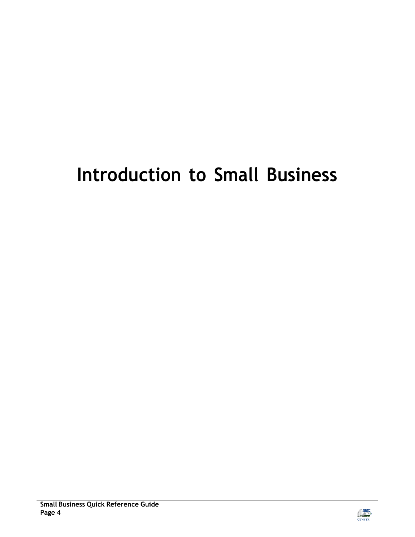## <span id="page-3-0"></span>**Introduction to Small Business**

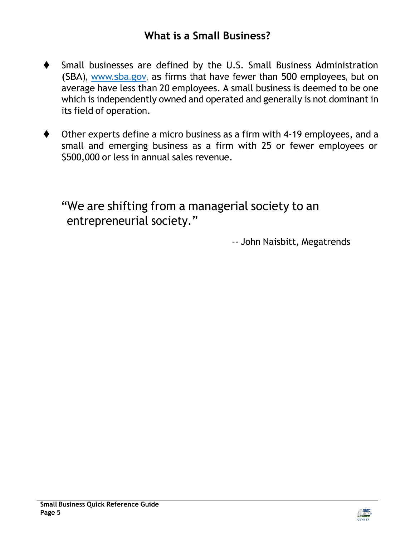### **What is a Small Business?**

- <span id="page-4-0"></span>⧫ Small businesses are defined by the U.S. Small Business Administration (SBA), [www.sba.gov,](http://www.sba.gov/) as firms that have fewer than 500 employees, but on average have less than 20 employees. A small business is deemed to be one which is independently owned and operated and generally is not dominant in its field of operation.
- Other experts define a micro business as a firm with 4-19 employees, and a small and emerging business as a firm with 25 or fewer employees or \$500,000 or less in annual sales revenue.

"We are shifting from a managerial society to an entrepreneurial society."

-- John Naisbitt, Megatrends

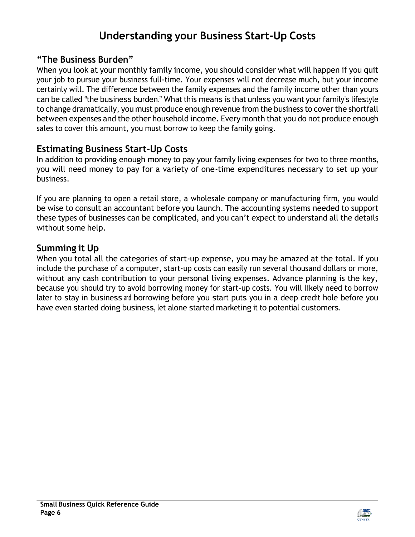## **Understanding your Business Start-Up Costs**

#### <span id="page-5-0"></span>**"The Business Burden"**

When you look at your monthly family income, you should consider what will happen if you quit your job to pursue your business full-time. Your expenses will not decrease much, but your income certainly will. The difference between the family expenses and the family income other than yours can be called "the business burden." What this means is that unless you want your family's lifestyle to change dramatically, you must produce enough revenue from the business to cover the shortfall between expenses and the other household income. Every month that you do not produce enough sales to cover this amount, you must borrow to keep the family going.

#### **Estimating Business Start-Up Costs**

In addition to providing enough money to pay your family living expenses for two to three months, you will need money to pay for a variety of one-time expenditures necessary to set up your business.

If you are planning to open a retail store, a wholesale company or manufacturing firm, you would be wise to consult an accountant before you launch. The accounting systems needed to support these types of businesses can be complicated, and you can't expect to understand all the details without some help.

#### **Summing it Up**

When you total all the categories of start-up expense, you may be amazed at the total. If you include the purchase of a computer, start-up costs can easily run several thousand dollars or more, without any cash contribution to your personal living expenses. Advance planning is the key, because you should try to avoid borrowing money for start-up costs. You will likely need to borrow later to stay in business and borrowing before you start puts you in a deep credit hole before you have even started doing business, let alone started marketing it to potential customers.

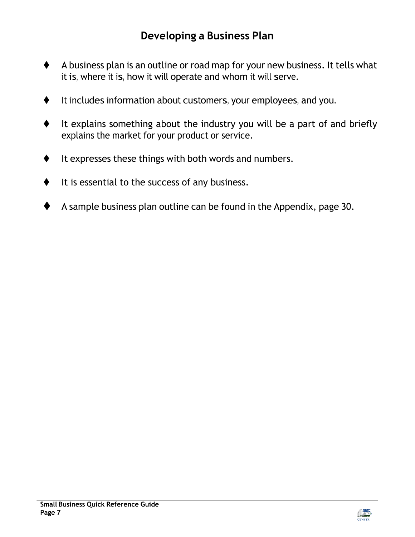- <span id="page-6-0"></span>⧫ A business plan is an outline or road map for your new business. It tells what it is, where it is, how it will operate and whom it will serve.
- ⧫ It includes information about customers, your employees, and you.
- ⧫ It explains something about the industry you will be a part of and briefly explains the market for your product or service.
- It expresses these things with both words and numbers.
- It is essential to the success of any business.
- ⧫ A sample business plan outline can be found in the Appendix, page 30.

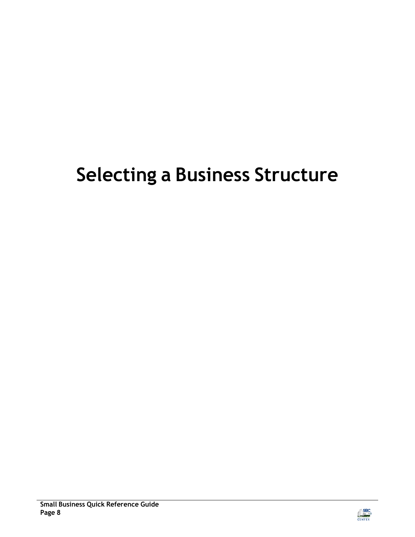## <span id="page-7-0"></span>**Selecting a Business Structure**

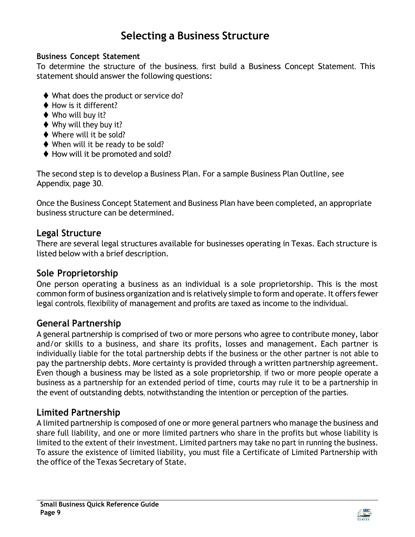### <span id="page-8-1"></span>**Selecting a Business Structure**

#### <span id="page-8-0"></span>**Business Concept Statement**

To determine the structure of the business, first build a Business Concept Statement. This statement should answer the following questions:

- ◆ What does the product or service do?
- ♦ How is it different?
- ◆ Who will buy it?
- ◆ Why will they buy it?
- ◆ Where will it be sold?
- ◆ When will it be ready to be sold?
- ♦ How will it be promoted and sold?

The second step is to develop a Business Plan. For a sample Business Plan Outline, see Appendix, page 30.

Once the Business Concept Statement and Business Plan have been completed, an appropriate business structure can be determined.

#### <span id="page-8-2"></span>**Legal Structure**

There are several legal structures available for businesses operating in Texas. Each structure is listed below with a brief description.

#### <span id="page-8-3"></span>**Sole Proprietorship**

One person operating a business as an individual is a sole proprietorship. This is the most common form of business organization and is relatively simple to form and operate. It offers fewer legal controls, flexibility of management and profits are taxed as income to the individual.

#### <span id="page-8-4"></span>**General Partnership**

A general partnership is comprised of two or more persons who agree to contribute money, labor and/or skills to a business, and share its profits, losses and management. Each partner is individually liable for the total partnership debts if the business or the other partner is not able to pay the partnership debts. More certainty is provided through a written partnership agreement. Even though a business may be listed as a sole proprietorship, if two or more people operate a business as a partnership for an extended period of time, courts may rule it to be a partnership in the event of outstanding debts, notwithstanding the intention or perception of the parties.

#### <span id="page-8-5"></span>**Limited Partnership**

A limited partnership is composed of one or more general partners who manage the business and share full liability, and one or more limited partners who share in the profits but whose liability is limited to the extent of their investment. Limited partners may take no part in running the business. To assure the existence of limited liability, you must file a Certificate of Limited Partnership with the office of the Texas Secretary of State.

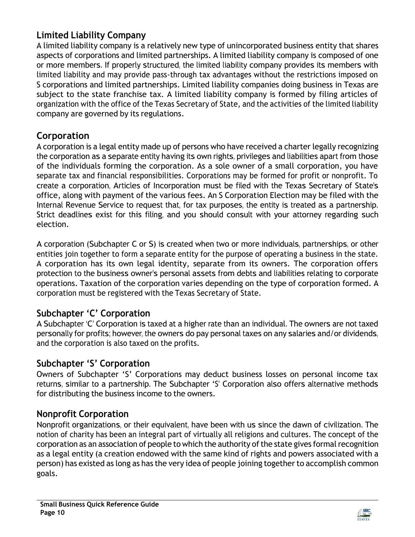#### **Limited Liability Company**

A limited liability company is a relatively new type of unincorporated business entity that shares aspects of corporations and limited partnerships. A limited liability company is composed of one or more members. If properly structured, the limited liability company provides its members with limited liability and may provide pass-through tax advantages without the restrictions imposed on S corporations and limited partnerships. Limited liability companies doing business in Texas are subject to the state franchise tax. A limited liability company is formed by filing articles of organization with the office of the Texas Secretary of State, and the activities of the limited liability company are governed by its regulations.

#### <span id="page-9-0"></span>**Corporation**

A corporation is a legal entity made up of persons who have received a charter legally recognizing the corporation as a separate entity having its own rights, privileges and liabilities apart from those of the individuals forming the corporation. As a sole owner of a small corporation, you have separate tax and financial responsibilities. Corporations may be formed for profit or nonprofit. To create a corporation, Articles of Incorporation must be filed with the Texas Secretary of State's office, along with payment of the various fees. An S Corporation Election may be filed with the Internal Revenue Service to request that, for tax purposes, the entity is treated as a partnership. Strict deadlines exist for this filing, and you should consult with your attorney regarding such election.

A corporation (Subchapter C or S) is created when two or more individuals, partnerships, or other entities join together to form a separate entity for the purpose of operating a business in the state. A corporation has its own legal identity, separate from its owners. The corporation offers protection to the business owner's personal assets from debts and liabilities relating to corporate operations. Taxation of the corporation varies depending on the type of corporation formed. A corporation must be registered with the Texas Secretary of State.

#### <span id="page-9-1"></span>**Subchapter 'C' Corporation**

A Subchapter 'C' Corporation is taxed at a higher rate than an individual. The owners are not taxed personally for profits; however, the owners do pay personal taxes on any salaries and/or dividends, and the corporation is also taxed on the profits.

#### <span id="page-9-2"></span>**Subchapter 'S' Corporation**

Owners of Subchapter 'S' Corporations may deduct business losses on personal income tax returns, similar to a partnership. The Subchapter 'S' Corporation also offers alternative methods for distributing the business income to the owners.

#### <span id="page-9-3"></span>**Nonprofit Corporation**

Nonprofit organizations, or their equivalent, have been with us since the dawn of civilization. The notion of charity has been an integral part of virtually all religions and cultures. The concept of the corporation as an association of people to which the authority of the state gives formal recognition as a legal entity (a creation endowed with the same kind of rights and powers associated with a person) has existed as long as has the very idea of people joining together to accomplish common goals.

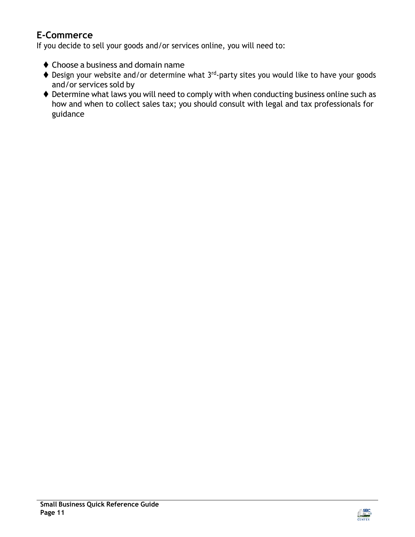#### <span id="page-10-0"></span>**E-Commerce**

If you decide to sell your goods and/or services online, you will need to:

- ⧫ Choose a business and domain name
- ◆ Design your website and/or determine what 3<sup>rd</sup>-party sites you would like to have your goods and/or services sold by
- ♦ Determine what laws you will need to comply with when conducting business online such as how and when to collect sales tax; you should consult with legal and tax professionals for guidance

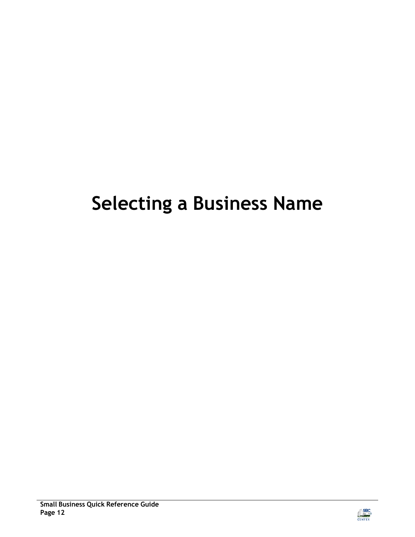## <span id="page-11-0"></span>**Selecting a Business Name**

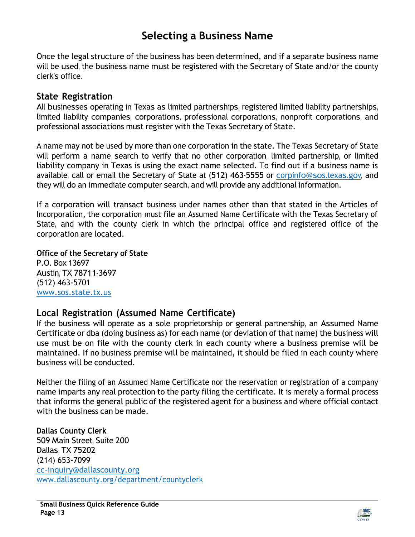### <span id="page-12-0"></span>**Selecting a Business Name**

Once the legal structure of the business has been determined, and if a separate business name will be used, the business name must be registered with the Secretary of State and/or the county clerk's office.

#### <span id="page-12-1"></span>**State Registration**

All businesses operating in Texas as limited partnerships, registered limited liability partnerships, limited liability companies, corporations, professional corporations, nonprofit corporations, and professional associations must register with the Texas Secretary of State.

A name may not be used by more than one corporation in the state. The Texas Secretary of State will perform a name search to verify that no other corporation, limited partnership, or limited liability company in Texas is using the exact name selected. To find out if a business name is available, call or email the Secretary of State at (512) 463-5555 or [corpinfo@sos.texas.gov,](mailto:corpinfo@sos.texas.gov) and they will do an immediate computer search, and will provide any additional information.

If a corporation will transact business under names other than that stated in the Articles of Incorporation, the corporation must file an Assumed Name Certificate with the Texas Secretary of State, and with the county clerk in which the principal office and registered office of the corporation are located.

**Office of the Secretary of State** P.O. Box 13697 Austin, TX 78711-3697 (512) 463-5701 [www.sos.state.tx.us](http://www.sos.state.tx.us/)

#### <span id="page-12-2"></span>**Local Registration (Assumed Name Certificate)**

If the business will operate as a sole proprietorship or general partnership, an Assumed Name Certificate or dba (doing business as) for each name (or deviation of that name) the business will use must be on file with the county clerk in each county where a business premise will be maintained. If no business premise will be maintained, it should be filed in each county where business will be conducted.

Neither the filing of an Assumed Name Certificate nor the reservation or registration of a company name imparts any real protection to the party filing the certificate. It is merely a formal process that informs the general public of the registered agent for a business and where official contact with the business can be made.

#### **Dallas County Clerk**

509 Main Street, Suite 200 Dallas, TX 75202 (214) 653-7099 [cc-inquiry@dallascounty.org](mailto:cc-inquiry@dallascounty.org) [www.dallascounty.org/department/countyclerk](http://www.dallascounty.org/department/countyclerk)

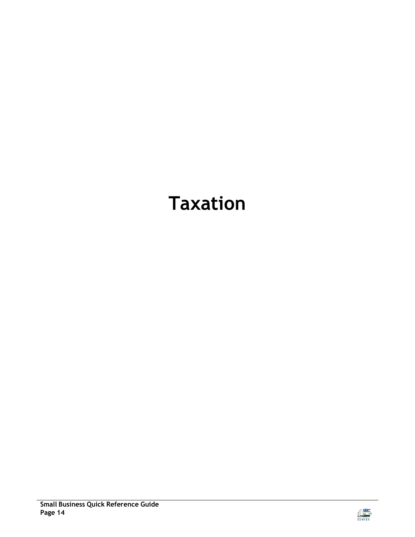## <span id="page-13-0"></span>**Taxation**

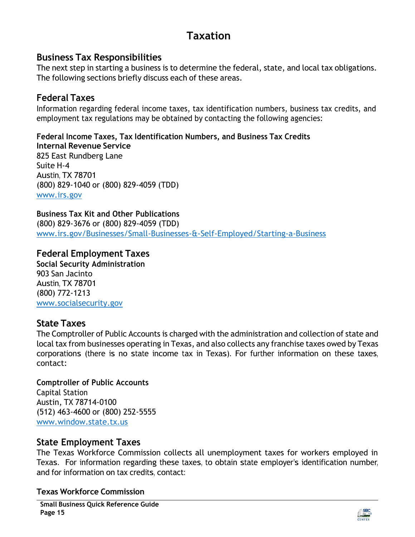## **Taxation**

#### <span id="page-14-0"></span>**Business Tax Responsibilities**

The next step in starting a business is to determine the federal, state, and local tax obligations. The following sections briefly discuss each of these areas.

#### <span id="page-14-1"></span>**Federal Taxes**

Information regarding federal income taxes, tax identification numbers, business tax credits, and employment tax regulations may be obtained by contacting the following agencies:

**Federal Income Taxes, Tax Identification Numbers, and Business Tax Credits Internal Revenue Service** 825 East Rundberg Lane Suite H-4 Austin, TX 78701 (800) 829-1040 or (800) 829-4059 (TDD) [www.irs.gov](http://www.irs.gov/)

**Business Tax Kit and Other Publications** (800) 829-3676 or (800) 829-4059 (TDD) [www.irs.gov/Businesses/Small-Businesses-&-Self-Employed/Starting-a-Business](http://www.irs.gov/Businesses/Small-Businesses-%26-Self-Employed/Starting-a-Business)

#### **Federal Employment Taxes**

**Social Security Administration** 903 San Jacinto Austin, TX 78701 (800) 772-1213 [www.socialsecurity.gov](http://www.socialsecurity.gov/)

#### <span id="page-14-2"></span>**State Taxes**

The Comptroller of Public Accounts is charged with the administration and collection of state and local tax from businesses operating in Texas, and also collects any franchise taxes owed by Texas corporations (there is no state income tax in Texas). For further information on these taxes, contact:

#### **Comptroller of Public Accounts** Capital Station

Austin, TX 78714-0100 (512) 463-4600 or (800) 252-5555 [www.window.state.tx.us](http://www.window.state.tx.us/)

#### <span id="page-14-3"></span>**State Employment Taxes**

The Texas Workforce Commission collects all unemployment taxes for workers employed in Texas. For information regarding these taxes, to obtain state employer's identification number, and for information on tax credits, contact:

**Texas Workforce Commission**

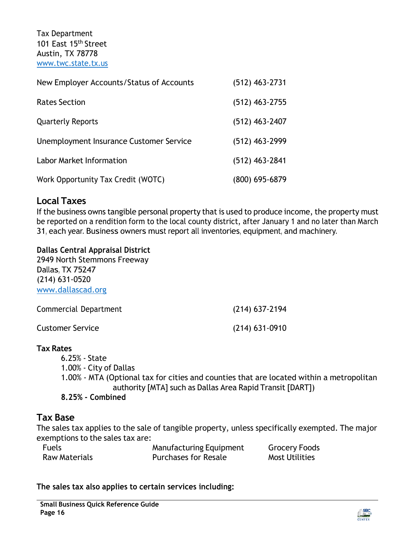Tax Department 101 East 15<sup>th</sup> Street Austin, TX 78778 [www.twc.state.tx.us](http://www.twc.state.tx.us/)

| New Employer Accounts/Status of Accounts | $(512)$ 463-2731 |
|------------------------------------------|------------------|
| <b>Rates Section</b>                     | $(512)$ 463-2755 |
| <b>Quarterly Reports</b>                 | $(512)$ 463-2407 |
| Unemployment Insurance Customer Service  | (512) 463-2999   |
| <b>Labor Market Information</b>          | $(512)$ 463-2841 |
| Work Opportunity Tax Credit (WOTC)       | (800) 695-6879   |

#### <span id="page-15-0"></span>**Local Taxes**

If the business owns tangible personal property that is used to produce income, the property must be reported on a rendition form to the local county district, after January 1 and no later than March 31, each year. Business owners must report all inventories, equipment, and machinery.

#### **Dallas Central Appraisal District**

2949 North Stemmons Freeway Dallas, TX 75247 (214) 631-0520 [www.dallascad.org](http://www.dallascad.org/)

| Commercial Department   | $(214)$ 637-2194 |
|-------------------------|------------------|
| <b>Customer Service</b> | $(214)$ 631-0910 |

#### **Tax Rates**

6.25% - State 1.00% - City of Dallas 1.00% - MTA (Optional tax for cities and counties that are located within a metropolitan authority [MTA] such as Dallas Area Rapid Transit [DART]) **8.25% - Combined**

#### <span id="page-15-1"></span>**Tax Base**

The sales tax applies to the sale of tangible property, unless specifically exempted. The major exemptions to the sales tax are:

| <b>Fuels</b>         | Manufacturing Equipment     | <b>Grocery Foods</b>  |
|----------------------|-----------------------------|-----------------------|
| <b>Raw Materials</b> | <b>Purchases for Resale</b> | <b>Most Utilities</b> |

**The sales tax also applies to certain services including:**

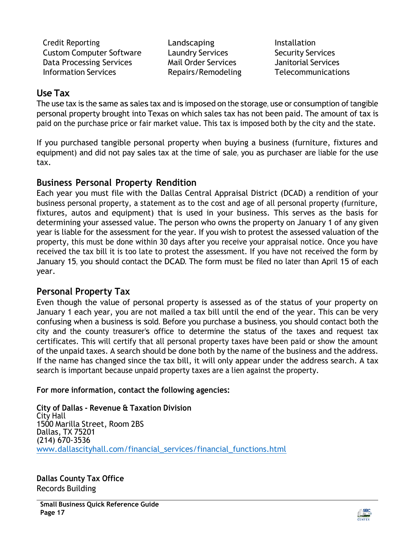Credit Reporting The Landscaping The Installation Custom Computer Software Laundry Services Security Services Data Processing Services Mail Order Services Janitorial Services Information Services Repairs/Remodeling Telecommunications

#### <span id="page-16-0"></span>**Use Tax**

The use tax is the same as sales tax and is imposed on the storage, use or consumption of tangible personal property brought into Texas on which sales tax has not been paid. The amount of tax is paid on the purchase price or fair market value. This tax is imposed both by the city and the state.

If you purchased tangible personal property when buying a business (furniture, fixtures and equipment) and did not pay sales tax at the time of sale, you as purchaser are liable for the use tax.

#### <span id="page-16-1"></span>**Business Personal Property Rendition**

Each year you must file with the [Dallas Central Appraisal District \(](http://www.dallascad.org/)DCAD) a rendition of your business personal property, a statement as to the cost and age of all personal property (furniture, fixtures, autos and equipment) that is used in your business. This serves as the basis for determining your assessed value. The person who owns the property on January 1 of any given year is liable for the assessment for the year. If you wish to protest the assessed valuation of the property, this must be done within 30 days after you receive your appraisal notice. Once you have received the tax bill it is too late to protest the assessment. If you have not received the form by January 15, you should contact the DCAD. The form must be filed no later than April 15 of each year.

#### <span id="page-16-2"></span>**Personal Property Tax**

Even though the value of personal property is assessed as of the status of your property on January 1 each year, you are not mailed a tax bill until the end of the year. This can be very confusing when a business is sold. Before you purchase a business, you should contact both the city and the county treasurer's office to determine the status of the taxes and request tax certificates. This will certify that all personal property taxes have been paid or show the amount of the unpaid taxes. A search should be done both by the name of the business and the address. If the name has changed since the tax bill, it will only appear under the address search. A tax search is important because unpaid property taxes are a lien against the property.

**For more information, contact the following agencies:**

**City of Dallas - Revenue & Taxation Division** City Hall 1500 Marilla Street, Room 2BS Dallas, TX 75201 (214) 670-3536 [www.dallascityhall.com/financial\\_services/financial\\_functions.html](https://dallascityhall.com/departments/controllersoffice/Pages/default.aspx)

**Dallas County Tax Office** Records Building

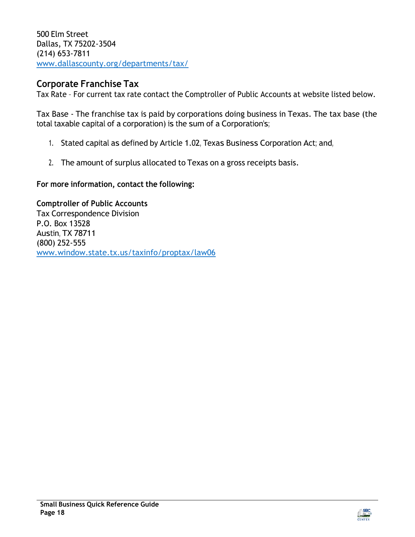500 Elm Street Dallas, TX 75202-3504 (214) 653-7811 [www.dallascounty.org/departments/tax/](https://www.dallascounty.org/departments/tax/)

#### <span id="page-17-0"></span>**Corporate Franchise Tax**

Tax Rate – For current tax rate contact the Comptroller of Public Accounts at website listed below.

Tax Base - The franchise tax is paid by corporations doing business in Texas. The tax base (the total taxable capital of a corporation) is the sum of a Corporation's;

- 1. Stated capital as defined by Article 1.02, Texas Business Corporation Act; and,
- 2. The amount of surplus allocated to Texas on a gross receipts basis.

**For more information, contact the following:**

#### **Comptroller of Public Accounts**

Tax Correspondence Division P.O. Box 13528 Austin, TX 78711 (800) 252-555 [www.window.state.tx.us/taxinfo/proptax/law06](http://www.window.state.tx.us/taxinfo/proptax/law06)

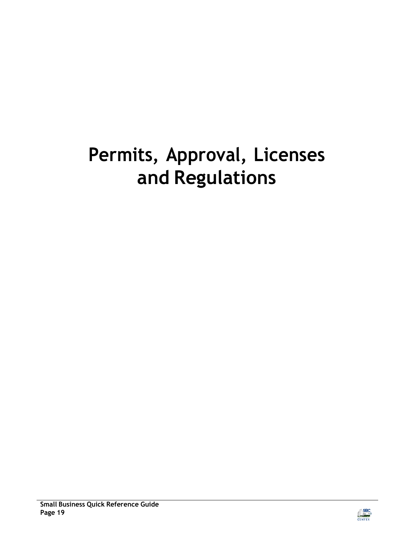## <span id="page-18-0"></span>**Permits, Approval, Licenses and Regulations**

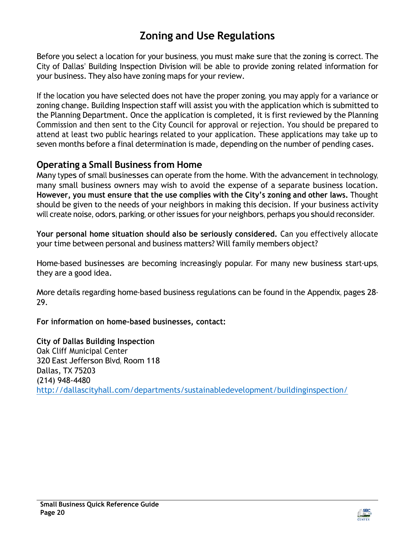### **Zoning and Use Regulations**

<span id="page-19-0"></span>Before you select a location for your business, you must make sure that the zoning is correct. The City of Dallas' Building Inspection Division will be able to provide zoning related information for your business. They also have zoning maps for your review.

If the location you have selected does not have the proper zoning, you may apply for a variance or zoning change. Building Inspection staff will assist you with the application which is submitted to the Planning Department. Once the application is completed, it is first reviewed by the Planning Commission and then sent to the City Council for approval or rejection. You should be prepared to attend at least two public hearings related to your application. These applications may take up to seven months before a final determination is made, depending on the number of pending cases.

#### <span id="page-19-1"></span>**Operating a Small Business from Home**

Many types of small businesses can operate from the home. With the advancement in technology, many small business owners may wish to avoid the expense of a separate business location. **However, you must ensure that the use complies with the City's zoning and other laws.** Thought should be given to the needs of your neighbors in making this decision. If your business activity will create noise, odors, parking, or other issues for your neighbors, perhaps you should reconsider.

**Your personal home situation should also be seriously considered.** Can you effectively allocate your time between personal and business matters? Will family members object?

Home-based businesses are becoming increasingly popular. For many new business start-ups, they are a good idea.

More details regarding home-based business regulations can be found in the Appendix, pages 28- 29.

**For information on home-based businesses, contact:**

**City of Dallas Building Inspection** Oak Cliff Municipal Center 320 East Jefferson Blvd, Room 118 Dallas, TX 75203 (214) 948-4480 <http://dallascityhall.com/departments/sustainabledevelopment/buildinginspection/>

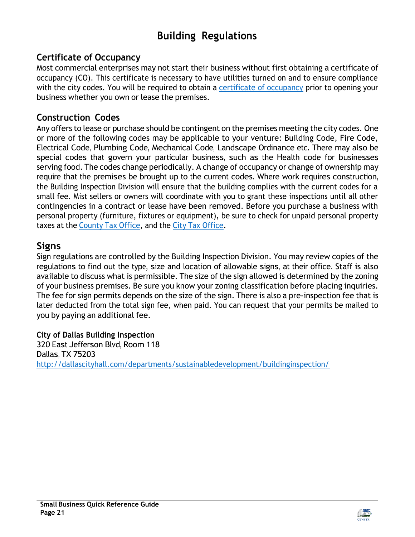## **Building Regulations**

#### <span id="page-20-0"></span>**Certificate of Occupancy**

Most commercial enterprises may not start their business without first obtaining a [certificate](http://dallascityhall.com/departments/sustainabledevelopment/buildinginspection/Pages/certificate_occupancy.aspx) of [occupancy \(CO\).](http://dallascityhall.com/departments/sustainabledevelopment/buildinginspection/Pages/certificate_occupancy.aspx) This certificate is necessary to have utilities turned on and to ensure compliance with the city codes. You will be required to obtain a [certificate](https://dallascityhall.com/departments/sustainabledevelopment/buildinginspection/DCH%20documents/pdf/BI_CO%20Application_05-30-2017.pdf) of occupancy prior to opening your business whether you own or lease the premises.

#### <span id="page-20-1"></span>**Construction Codes**

Any offers to lease or purchase should be contingent on the premises meeting the city [codes.](http://dallascityhall.com/departments/sustainabledevelopment/buildinginspection/Pages/construction_codes.aspx) One or more of the following codes may be applicable to your venture: Building Code, Fire Code, Electrical Code, Plumbing Code, Mechanical Code, Landscape Ordinance etc. There may also be special codes that govern your particular business, such as the Health code for businesses serving food. The codes change periodically. A change of occupancy or change of ownership may require that the premises be brought up to the current codes. Where work requires construction, the Building Inspection Division will ensure that the building complies with the current codes for a small fee. Mist sellers or owners will coordinate with you to grant these inspections until all other contingencies in a contract or lease have been removed. Before you purchase a business with personal property (furniture, fixtures or equipment), be sure to check for unpaid personal property taxes at the [County](http://www.dallascounty.org/department/tax/) Tax Office, and the City Tax [Office.](http://dallascityhall.com/departments/officefinancialservices/Pages/Property_Taxes.aspx)

#### <span id="page-20-2"></span>**Signs**

Sign regulations are controlled by the Building [Inspection](http://dallascityhall.com/departments/sustainabledevelopment/buildinginspection/Pages/index.aspx) Division. You may review copies of the regulations to find out the type, size and location of allowable signs, at their office. Staff is also available to discuss what is permissible. The size of the sign allowed is determined by the zoning of your business premises. Be sure you know your zoning classification before placing inquiries. The fee for sign permits depends on the size of the sign. There is also a pre-inspection fee that is later deducted from the total sign fee, when paid. You can request that your permits be mailed to you by paying an additional fee.

**City of Dallas Building Inspection** 320 East Jefferson Blvd, Room 118 Dallas, TX 75203 <http://dallascityhall.com/departments/sustainabledevelopment/buildinginspection/>

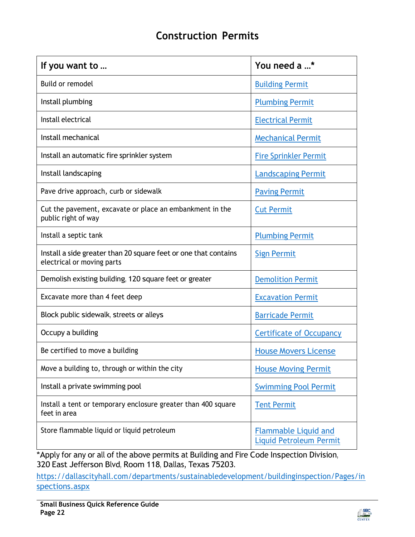### **Construction Permits**

<span id="page-21-0"></span>

| If you want to                                                                                | You need a *                                                  |  |
|-----------------------------------------------------------------------------------------------|---------------------------------------------------------------|--|
| <b>Build or remodel</b>                                                                       | <b>Building Permit</b>                                        |  |
| Install plumbing                                                                              | <b>Plumbing Permit</b>                                        |  |
| Install electrical                                                                            | <b>Electrical Permit</b>                                      |  |
| Install mechanical                                                                            | <b>Mechanical Permit</b>                                      |  |
| Install an automatic fire sprinkler system                                                    | <b>Fire Sprinkler Permit</b>                                  |  |
| Install landscaping                                                                           | <b>Landscaping Permit</b>                                     |  |
| Pave drive approach, curb or sidewalk                                                         | <b>Paving Permit</b>                                          |  |
| Cut the pavement, excavate or place an embankment in the<br>public right of way               | <b>Cut Permit</b>                                             |  |
| Install a septic tank                                                                         | <b>Plumbing Permit</b>                                        |  |
| Install a side greater than 20 square feet or one that contains<br>electrical or moving parts | <b>Sign Permit</b>                                            |  |
| Demolish existing building, 120 square feet or greater                                        | <b>Demolition Permit</b>                                      |  |
| Excavate more than 4 feet deep                                                                | <b>Excavation Permit</b>                                      |  |
| Block public sidewalk, streets or alleys                                                      | <b>Barricade Permit</b>                                       |  |
| Occupy a building                                                                             | <b>Certificate of Occupancy</b>                               |  |
| Be certified to move a building                                                               | <b>House Movers License</b>                                   |  |
| Move a building to, through or within the city                                                | <b>House Moving Permit</b>                                    |  |
| Install a private swimming pool                                                               | <b>Swimming Pool Permit</b>                                   |  |
| Install a tent or temporary enclosure greater than 400 square<br>feet in area                 | <b>Tent Permit</b>                                            |  |
| Store flammable liquid or liquid petroleum                                                    | <b>Flammable Liquid and</b><br><b>Liquid Petroleum Permit</b> |  |

\*Apply for any or all of the above permits at Building and Fire Code Inspection Division, 320 East Jefferson Blvd, Room 118, Dallas, Texas 75203.

[https://dallascityhall.com/departments/sustainabledevelopment/buildinginspection/Pages/in](https://dallascityhall.com/departments/sustainabledevelopment/buildinginspection/Pages/inspections.aspx) [spections.aspx](https://dallascityhall.com/departments/sustainabledevelopment/buildinginspection/Pages/inspections.aspx)

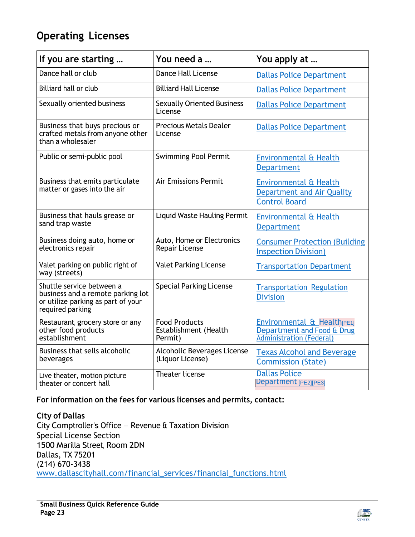### <span id="page-22-0"></span>**Operating Licenses**

| If you are starting                                                                                                      | You need a                                               | You apply at                                                                                      |
|--------------------------------------------------------------------------------------------------------------------------|----------------------------------------------------------|---------------------------------------------------------------------------------------------------|
| Dance hall or club                                                                                                       | <b>Dance Hall License</b>                                | <b>Dallas Police Department</b>                                                                   |
| <b>Billiard hall or club</b>                                                                                             | <b>Billiard Hall License</b>                             | <b>Dallas Police Department</b>                                                                   |
| Sexually oriented business                                                                                               | <b>Sexually Oriented Business</b><br>License             | <b>Dallas Police Department</b>                                                                   |
| Business that buys precious or<br>crafted metals from anyone other<br>than a wholesaler                                  | <b>Precious Metals Dealer</b><br>License                 | <b>Dallas Police Department</b>                                                                   |
| Public or semi-public pool                                                                                               | <b>Swimming Pool Permit</b>                              | <b>Environmental &amp; Health</b><br><b>Department</b>                                            |
| Business that emits particulate<br>matter or gases into the air                                                          | <b>Air Emissions Permit</b>                              | Environmental & Health<br>Department and Air Quality<br><b>Control Board</b>                      |
| Business that hauls grease or<br>sand trap waste                                                                         | <b>Liquid Waste Hauling Permit</b>                       | <b>Environmental &amp; Health</b><br><b>Department</b>                                            |
| Business doing auto, home or<br>electronics repair                                                                       | Auto, Home or Electronics<br>Repair License              | <b>Consumer Protection (Building</b><br><b>Inspection Division)</b>                               |
| Valet parking on public right of<br>way (streets)                                                                        | <b>Valet Parking License</b>                             | <b>Transportation Department</b>                                                                  |
| Shuttle service between a<br>business and a remote parking lot<br>or utilize parking as part of your<br>required parking | <b>Special Parking License</b>                           | <b>Transportation Regulation</b><br><b>Division</b>                                               |
| Restaurant, grocery store or any<br>other food products<br>establishment                                                 | <b>Food Products</b><br>Establishment (Health<br>Permit) | Environmental & Health <sub>[PE1]</sub><br>Department and Food & Drug<br>Administration (Federal) |
| Business that sells alcoholic<br>beverages                                                                               | Alcoholic Beverages License<br>(Liquor License)          | <b>Texas Alcohol and Beverage</b><br><b>Commission (State)</b>                                    |
| Live theater, motion picture<br>theater or concert hall                                                                  | Theater license                                          | <b>Dallas Police</b><br><b>Department</b> [PE2] PE3]                                              |

**For information on the fees for various licenses and permits, contact:**

**City of Dallas** City Comptroller's Office – Revenue & Taxation Division Special License Section 1500 Marilla Street, Room 2DN Dallas, TX 75201 (214) 670-3438 [www.dallascityhall.com/financial\\_services/financial\\_functions.html](https://dallascityhall.com/departments/controllersoffice/Pages/default.aspx)

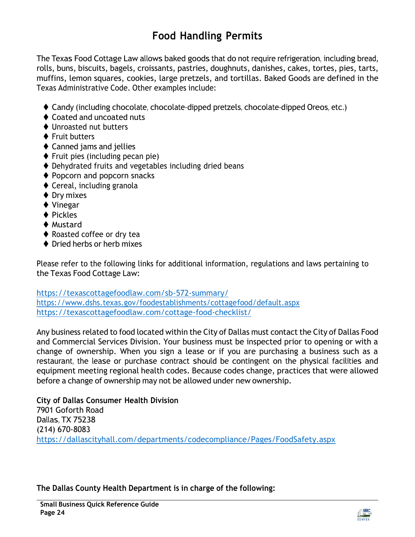## **Food Handling Permits**

<span id="page-23-0"></span>The Texas Food Cottage Law allows baked goods that do not require refrigeration, including bread, rolls, buns, biscuits, bagels, croissants, pastries, doughnuts, danishes, cakes, tortes, pies, tarts, muffins, lemon squares, cookies, large pretzels, and tortillas. Baked Goods are defined in the Texas [Administrative](https://texreg.sos.state.tx.us/public/readtac%24ext.TacPage?sl=R&app=9&p_dir&p_rloc&p_tloc&p_ploc&pg=1&p_tac&ti=34&pt=1&ch=3&rl=293) Code. Other examples include:

- ◆ Candy (including chocolate, chocolate-dipped pretzels, chocolate-dipped Oreos, etc.)
- ♦ Coated and uncoated nuts
- ⧫ Unroasted nut butters
- ♦ Fruit butters
- ◆ Canned jams and jellies
- ◆ Fruit pies (including pecan pie)
- ♦ Dehydrated fruits and vegetables including dried beans
- ♦ Popcorn and popcorn snacks
- ◆ Cereal, including granola
- ◆ Dry mixes
- ◆ Vinegar
- ◆ Pickles
- ◆ Mustard
- ◆ Roasted coffee or dry tea
- ♦ Dried herbs or herb mixes

Please refer to the following links for additional information, regulations and laws pertaining to the Texas Food Cottage Law:

<https://texascottagefoodlaw.com/sb-572-summary/> <https://www.dshs.texas.gov/foodestablishments/cottagefood/default.aspx> <https://texascottagefoodlaw.com/cottage-food-checklist/>

Any business related to food located within the City of Dallas must contact the City of Dallas Food and Commercial Services Division. Your business must be inspected prior to opening or with a change of ownership. When you sign a lease or if you are purchasing a business such as a restaurant, the lease or purchase contract should be contingent on the physical facilities and equipment meeting regional health codes. Because codes change, practices that were allowed before a change of ownership may not be allowed under new ownership.

**City of Dallas Consumer Health Division** 7901 Goforth Road Dallas, TX 75238 (214) 670-8083 <https://dallascityhall.com/departments/codecompliance/Pages/FoodSafety.aspx>

**The Dallas County Health Department is in charge of the following:**

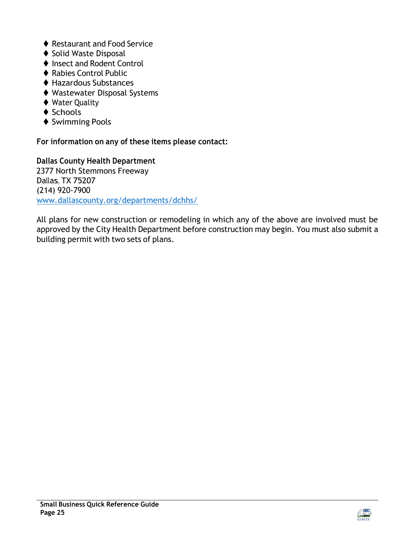- ♦ Restaurant and Food Service
- ◆ Solid Waste Disposal
- ◆ Insect and Rodent Control
- ◆ Rabies Control Public
- ◆ Hazardous Substances
- ◆ Wastewater Disposal Systems
- ◆ Water Quality
- ◆ Schools
- ◆ Swimming Pools

**For information on any of these items please contact:**

**Dallas County Health Department** 2377 North Stemmons Freeway Dallas, TX 75207 (214) 920-7900 [www.dallascounty.org/departments/dchhs/](http://www.dallascounty.org/departments/dchhs/)

All plans for new construction or remodeling in which any of the above are involved must be approved by the City Health Department before construction may begin. You must also submit a building permit with two sets of plans.

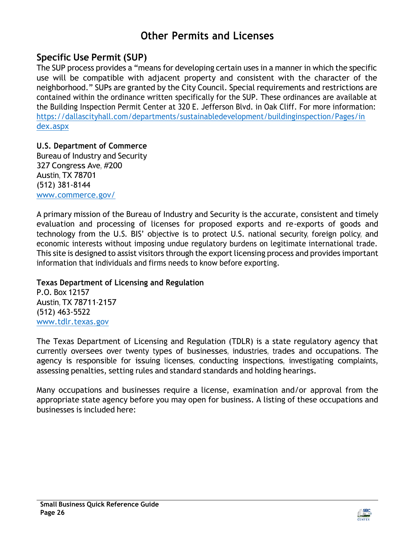### **Other Permits and Licenses**

#### <span id="page-25-0"></span>**Specific Use Permit (SUP)**

The [SUP](http://dallascityhall.com/departments/sustainabledevelopment/planning/DCH%20Documents/Specific%20Use%20Permit%20Application%20Packet.pdf) process provides a "means for developing certain uses in a manner in which the specific use will be compatible with adjacent property and consistent with the character of the neighborhood." SUPs are granted by the City Council. Special requirements and restrictions are contained within the ordinance written specifically for the SUP. These ordinances are available at the Building Inspection Permit Center at 320 E. Jefferson Blvd. in Oak Cliff. For more information: [https://dallascityhall.com/departments/sustainabledevelopment/buildinginspection/Pages/in](https://dallascityhall.com/departments/sustainabledevelopment/buildinginspection/Pages/index.aspx) [dex.aspx](https://dallascityhall.com/departments/sustainabledevelopment/buildinginspection/Pages/index.aspx)

**U.S. Department of Commerce** Bureau of Industry and Security 327 Congress Ave, #200 Austin, TX 78701 (512) 381-8144 [www.commerce.gov/](http://www.commerce.gov/)

A primary mission of the Bureau of Industry and Security is the accurate, consistent and timely evaluation and processing of licenses for proposed exports and re-exports of goods and technology from the U.S. BIS' objective is to protect U.S. national security, foreign policy, and economic interests without imposing undue regulatory burdens on legitimate international trade. This site is designed to assist visitors through the export licensing process and provides important information that individuals and firms needs to know before exporting.

#### **Texas Department of Licensing and Regulation**

P.O. Box 12157 Austin, TX 78711-2157 (512) 463-5522 [www.tdlr.texas.gov](http://www.tdlr.texas.gov/)

The Texas Department of Licensing and Regulation (TDLR) is a state regulatory agency that currently oversees over twenty types of businesses, industries, trades and occupations. The agency is responsible for issuing licenses, conducting inspections, investigating complaints, assessing penalties, setting rules and standard standards and holding hearings.

Many occupations and businesses require a license, examination and/or approval from the appropriate state agency before you may open for business. A listing of these occupations and businesses is included here:

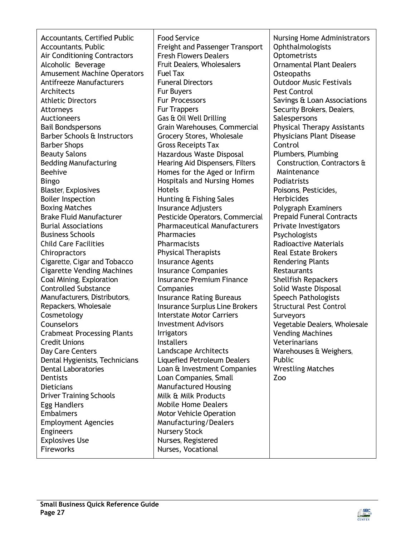| <b>Accountants, Certified Public</b><br><b>Accountants, Public</b><br><b>Air Conditioning Contractors</b><br>Alcoholic Beverage<br><b>Amusement Machine Operators</b><br><b>Antifreeze Manufacturers</b><br>Architects<br><b>Athletic Directors</b><br>Attorneys<br><b>Auctioneers</b><br><b>Bail Bondspersons</b><br>Barber Schools & Instructors | <b>Food Service</b><br><b>Freight and Passenger Transport</b><br><b>Fresh Flowers Dealers</b><br>Fruit Dealers, Wholesalers<br><b>Fuel Tax</b><br><b>Funeral Directors</b><br><b>Fur Buyers</b><br><b>Fur Processors</b><br><b>Fur Trappers</b><br>Gas & Oil Well Drilling<br>Grain Warehouses, Commercial<br>Grocery Stores, Wholesale | <b>Nursing Home Administrators</b><br>Ophthalmologists<br>Optometrists<br><b>Ornamental Plant Dealers</b><br>Osteopaths<br><b>Outdoor Music Festivals</b><br><b>Pest Control</b><br>Savings & Loan Associations<br>Security Brokers, Dealers,<br>Salespersons<br><b>Physical Therapy Assistants</b> |
|----------------------------------------------------------------------------------------------------------------------------------------------------------------------------------------------------------------------------------------------------------------------------------------------------------------------------------------------------|-----------------------------------------------------------------------------------------------------------------------------------------------------------------------------------------------------------------------------------------------------------------------------------------------------------------------------------------|-----------------------------------------------------------------------------------------------------------------------------------------------------------------------------------------------------------------------------------------------------------------------------------------------------|
| <b>Barber Shops</b><br><b>Beauty Salons</b><br><b>Bedding Manufacturing</b>                                                                                                                                                                                                                                                                        | <b>Gross Receipts Tax</b><br>Hazardous Waste Disposal<br>Hearing Aid Dispensers, Filters                                                                                                                                                                                                                                                | Physicians Plant Disease<br>Control<br>Plumbers, Plumbing<br>Construction, Contractors &                                                                                                                                                                                                            |
| <b>Beehive</b><br><b>Bingo</b><br><b>Blaster, Explosives</b>                                                                                                                                                                                                                                                                                       | Homes for the Aged or Infirm<br><b>Hospitals and Nursing Homes</b><br><b>Hotels</b>                                                                                                                                                                                                                                                     | Maintenance<br>Podiatrists<br>Poisons, Pesticides,                                                                                                                                                                                                                                                  |
| <b>Boiler Inspection</b><br><b>Boxing Matches</b><br><b>Brake Fluid Manufacturer</b>                                                                                                                                                                                                                                                               | Hunting & Fishing Sales<br>Insurance Adjusters<br>Pesticide Operators, Commercial                                                                                                                                                                                                                                                       | <b>Herbicides</b><br>Polygraph Examiners<br><b>Prepaid Funeral Contracts</b>                                                                                                                                                                                                                        |
| <b>Burial Associations</b><br><b>Business Schools</b><br><b>Child Care Facilities</b>                                                                                                                                                                                                                                                              | <b>Pharmaceutical Manufacturers</b><br>Pharmacies<br>Pharmacists                                                                                                                                                                                                                                                                        | Private Investigators<br>Psychologists<br><b>Radioactive Materials</b><br><b>Real Estate Brokers</b>                                                                                                                                                                                                |
| Chiropractors<br>Cigarette, Cigar and Tobacco<br><b>Cigarette Vending Machines</b><br>Coal Mining, Exploration<br><b>Controlled Substance</b>                                                                                                                                                                                                      | <b>Physical Therapists</b><br><b>Insurance Agents</b><br><b>Insurance Companies</b><br><b>Insurance Premium Finance</b>                                                                                                                                                                                                                 | <b>Rendering Plants</b><br>Restaurants<br>Shellfish Repackers                                                                                                                                                                                                                                       |
| Manufacturers, Distributors,<br>Repackers, Wholesale<br>Cosmetology                                                                                                                                                                                                                                                                                | Companies<br><b>Insurance Rating Bureaus</b><br><b>Insurance Surplus Line Brokers</b><br><b>Interstate Motor Carriers</b>                                                                                                                                                                                                               | Solid Waste Disposal<br>Speech Pathologists<br><b>Structural Pest Control</b><br>Surveyors                                                                                                                                                                                                          |
| Counselors<br><b>Crabmeat Processing Plants</b><br><b>Credit Unions</b><br>Day Care Centers                                                                                                                                                                                                                                                        | <b>Investment Advisors</b><br><b>Irrigators</b><br><b>Installers</b><br>Landscape Architects                                                                                                                                                                                                                                            | Vegetable Dealers, Wholesale<br><b>Vending Machines</b><br>Veterinarians<br>Warehouses & Weighers,                                                                                                                                                                                                  |
| Dental Hygienists, Technicians<br><b>Dental Laboratories</b><br>Dentists<br><b>Dieticians</b><br><b>Driver Training Schools</b>                                                                                                                                                                                                                    | Liquefied Petroleum Dealers<br>Loan & Investment Companies<br>Loan Companies, Small<br><b>Manufactured Housing</b><br>Milk & Milk Products                                                                                                                                                                                              | Public<br><b>Wrestling Matches</b><br>Zoo                                                                                                                                                                                                                                                           |
| <b>Egg Handlers</b><br><b>Embalmers</b><br><b>Employment Agencies</b><br><b>Engineers</b>                                                                                                                                                                                                                                                          | <b>Mobile Home Dealers</b><br><b>Motor Vehicle Operation</b><br>Manufacturing/Dealers<br><b>Nursery Stock</b>                                                                                                                                                                                                                           |                                                                                                                                                                                                                                                                                                     |
| <b>Explosives Use</b><br>Fireworks                                                                                                                                                                                                                                                                                                                 | Nurses, Registered<br>Nurses, Vocational                                                                                                                                                                                                                                                                                                |                                                                                                                                                                                                                                                                                                     |

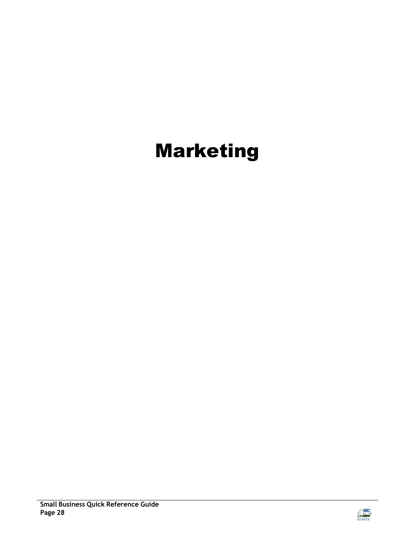## <span id="page-27-0"></span>Marketing

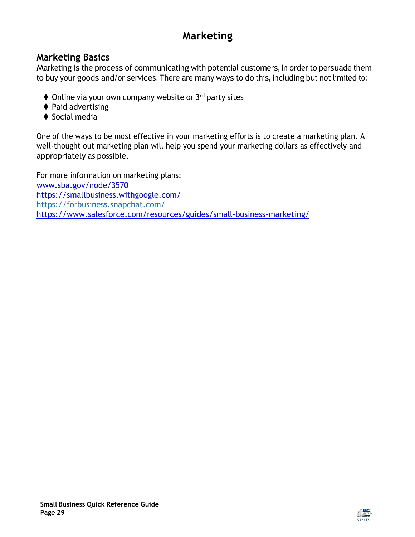## **Marketing**

#### <span id="page-28-0"></span>**Marketing Basics**

Marketing is the process of communicating with potential customers, in order to persuade them to buy your goods and/or services. There are many ways to do this, including but not limited to:

- ◆ Online via your own company website or 3<sup>rd</sup> party sites
- ♦ Paid advertising
- ◆ Social media

One of the ways to be most effective in your marketing efforts is to create a marketing plan. A well-thought out marketing plan will help you spend your marketing dollars as effectively and appropriately as possible.

For more information on marketing plans: [www.sba.gov/node/3570](http://www.sba.gov/node/3570) <https://smallbusiness.withgoogle.com/> https://forbusiness.snapchat.com/ [https://www.salesforce.com/resources/guides/small-business-marketing/](https://www.salesforce.com/resources/guides/small-business-marketing/%0c)

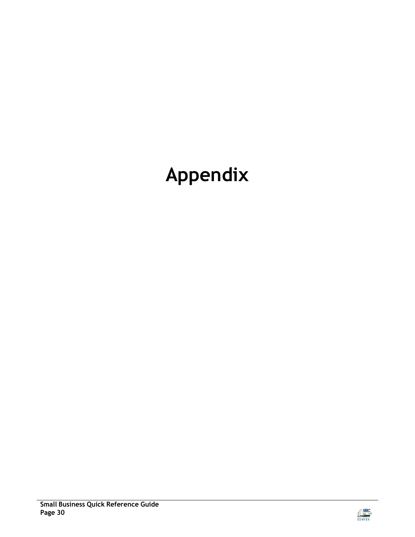## <span id="page-29-0"></span>**Appendix**

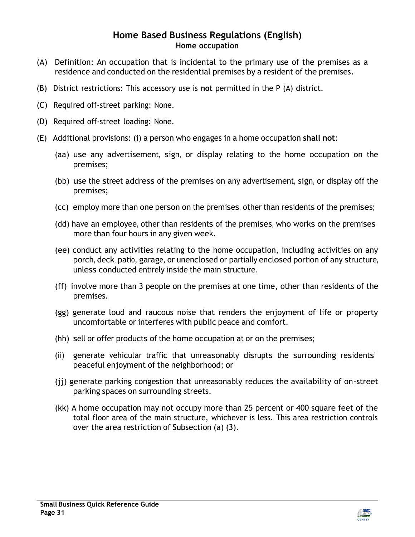#### **Home Based Business Regulations (English) Home occupation**

- (A) Definition: An occupation that is incidental to the primary use of the premises as a residence and conducted on the residential premises by a resident of the premises.
- (B) District restrictions: This accessory use is **not** permitted in the P (A) district.
- (C) Required off-street parking: None.
- (D) Required off-street loading: None.
- (E) Additional provisions: (i) a person who engages in a home occupation **shall not**:
	- (aa) use any advertisement, sign, or display relating to the home occupation on the premises;
	- (bb) use the street address of the premises on any advertisement, sign, or display off the premises;
	- (cc) employ more than one person on the premises, other than residents of the premises;
	- (dd) have an employee, other than residents of the premises, who works on the premises more than four hours in any given week.
	- (ee) conduct any activities relating to the home occupation, including activities on any porch, deck, patio, garage, or unenclosed or partially enclosed portion of any structure, unless conducted entirely inside the main structure.
	- (ff) involve more than 3 people on the premises at one time, other than residents of the premises.
	- (gg) generate loud and raucous noise that renders the enjoyment of life or property uncomfortable or interferes with public peace and comfort.
	- (hh) sell or offer products of the home occupation at or on the premises;
	- (ii) generate vehicular traffic that unreasonably disrupts the surrounding residents' peaceful enjoyment of the neighborhood; or
	- (jj) generate parking congestion that unreasonably reduces the availability of on-street parking spaces on surrounding streets.
	- (kk) A home occupation may not occupy more than 25 percent or 400 square feet of the total floor area of the main structure, whichever is less. This area restriction controls over the area restriction of Subsection (a) (3).

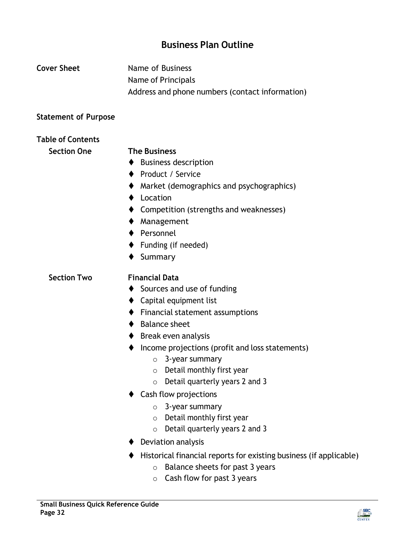#### **Business Plan Outline**

<span id="page-31-0"></span>

| <b>Cover Sheet</b>          | Name of Business<br>Name of Principals<br>Address and phone numbers (contact information)                                                                                                                                                                                                                                                                                                                                                                                                                                                |  |  |
|-----------------------------|------------------------------------------------------------------------------------------------------------------------------------------------------------------------------------------------------------------------------------------------------------------------------------------------------------------------------------------------------------------------------------------------------------------------------------------------------------------------------------------------------------------------------------------|--|--|
| <b>Statement of Purpose</b> |                                                                                                                                                                                                                                                                                                                                                                                                                                                                                                                                          |  |  |
| <b>Table of Contents</b>    |                                                                                                                                                                                                                                                                                                                                                                                                                                                                                                                                          |  |  |
| <b>Section One</b>          | <b>The Business</b><br><b>Business description</b><br>Product / Service<br>Market (demographics and psychographics)<br>Location<br>Competition (strengths and weaknesses)<br>Management<br>Personnel<br>$\blacklozenge$ Funding (if needed)<br>Summary                                                                                                                                                                                                                                                                                   |  |  |
| <b>Section Two</b>          | <b>Financial Data</b><br>Sources and use of funding<br>$\blacklozenge$ Capital equipment list<br>Financial statement assumptions<br>$\blacklozenge$ Balance sheet<br>$\blacklozenge$ Break even analysis<br>Income projections (profit and loss statements)<br>3-year summary<br>O<br>Detail monthly first year<br>$\circ$<br>Detail quarterly years 2 and 3<br>$\circ$<br>Cash flow projections<br>3-year summary<br>$\circ$<br>Detail monthly first year<br>$\circ$<br>Detail quarterly years 2 and 3<br>$\circ$<br>Deviation analysis |  |  |

- ⧫ Historical financial reports for existing business (if applicable)
	- o Balance sheets for past 3 years
	- o Cash flow for past 3 years

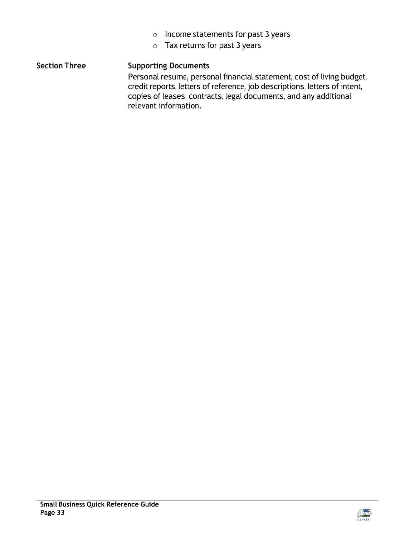- o Income statements for past 3 years
- $\circ$  Tax returns for past 3 years

#### **Section Three Supporting Documents**

Personal resume, personal financial statement, cost of living budget, credit reports, letters of reference, job descriptions, letters of intent, copies of leases, contracts, legal documents, and any additional relevant information.